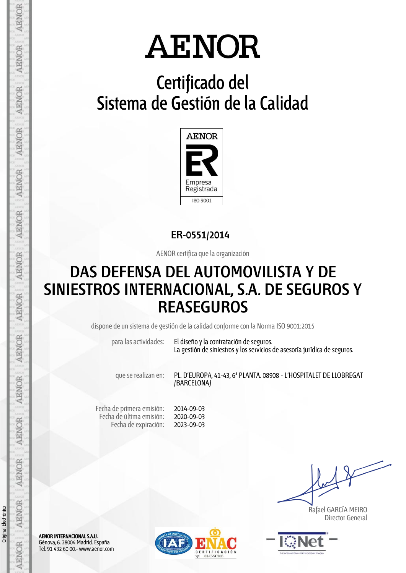## **Certificado del Sistema de Gestión de la Calidad**



**ER-0551/2014**

AENOR certifica que la organización

## **DAS DEFENSA DEL AUTOMOVILISTA Y DE SINIESTROS INTERNACIONAL, S.A. DE SEGUROS Y REASEGUROS**

dispone de un sistema de gestión de la calidad conforme con la Norma ISO 9001:2015

para las actividades: El diseño y la contratación de seguros. La gestión de siniestros y los servicios de asesoría jurídica de seguros.

que se realizan en: PL. D'EUROPA, 41-43, 6ª PLANTA. 08908 - L'HOSPITALET DE LLOBREGAT (BARCELONA)

Fecha de primera emisión: Fecha de última emisión: Fecha de expiración:

2014-09-03 2020-09-03 2023-09-03

 Rafael GARCÍA MEIRO Director General



AENOR INTERNACIONAL S.A.U. Génova, 6. 28004 Madrid. España Tel. 91 432 60 00.- www.aenor.com



Original Electrónico

Original Electrónico